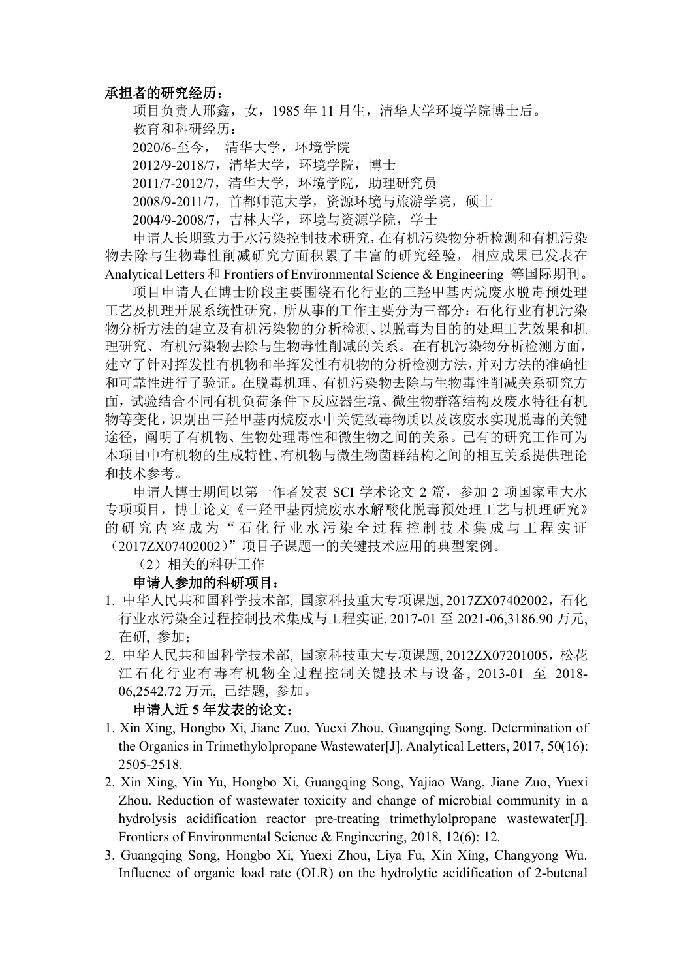## **承担者的研究经历:**

项目负责人邢鑫,女,1985 年 11 月生,清华大学环境学院博士后。 教育和科研经历:

2020/6-至今, 清华大学,环境学院

2012/9-2018/7,清华大学,环境学院,博士

2011/7-2012/7,清华大学,环境学院,助理研究员

2008/9-2011/7,首都师范大学,资源环境与旅游学院,硕士

2004/9-2008/7,吉林大学,环境与资源学院,学士

申请人长期致力于水污染控制技术研究,在有机污染物分析检测和有机污染 物去除与生物毒性削减研究方面积累了丰富的研究经验,相应成果已发表在 Analytical Letters 和 Frontiers of Environmental Science & Engineering 等国际期刊。

项目申请人在博士阶段主要围绕石化行业的三羟甲基丙烷废水脱毒预处理 工艺及机理开展系统性研究,所从事的工作主要分为三部分:石化行业有机污染 物分析方法的建立及有机污染物的分析检测、以脱毒为目的的处理工艺效果和机 理研究、有机污染物去除与生物毒性削减的关系。在有机污染物分析检测方面, 建立了针对挥发性有机物和半挥发性有机物的分析检测方法,并对方法的准确性 和可靠性进行了验证。在脱毒机理、有机污染物去除与生物毒性削减关系研究方 面,试验结合不同有机负荷条件下反应器生境、微生物群落结构及废水特征有机 物等变化,识别出三羟甲基丙烷废水中关键致毒物质以及该废水实现脱毒的关键 途径,阐明了有机物、生物处理毒性和微生物之间的关系。已有的研究工作可为 本项目中有机物的生成特性、有机物与微生物菌群结构之间的相互关系提供理论 和技术参考。

申请人博士期间以第一作者发表 SCI 学术论文 2 篇,参加 2 项国家重大水 专项项目,博士论文《三羟甲基丙烷废水水解酸化脱毒预处理工艺与机理研究》 的研究内容成为"石化行业水污染全过程控制技术集成与工程实证 (2017ZX07402002)"项目子课题一的关键技术应用的典型案例。

(2)相关的科研工作

## **申请人参加的科研项目:**

- 1. 中华人民共和国科学技术部, 国家科技重大专项课题, 2017ZX07402002,石化 行业水污染全过程控制技术集成与工程实证, 2017-01 至 2021-06,3186.90 万元, 在研, 参加;
- 2. 中华人民共和国科学技术部, 国家科技重大专项课题, 2012ZX07201005,松花 江石化行业有毒有机物全过程控制关键技术与设备, 2013-01 至 2018- 06,2542.72 万元, 已结题, 参加。

## **申请人近 5 年发表的论文:**

- 1. Xin Xing, Hongbo Xi, Jiane Zuo, Yuexi Zhou, Guangqing Song. Determination of the Organics in Trimethylolpropane Wastewater[J]. Analytical Letters, 2017, 50(16): 2505-2518.
- 2. Xin Xing, Yin Yu, Hongbo Xi, Guangqing Song, Yajiao Wang, Jiane Zuo, Yuexi Zhou. Reduction of wastewater toxicity and change of microbial community in a hydrolysis acidification reactor pre-treating trimethylolpropane wastewater[J]. Frontiers of Environmental Science & Engineering, 2018, 12(6): 12.
- 3. Guangqing Song, Hongbo Xi, Yuexi Zhou, Liya Fu, Xin Xing, Changyong Wu. Influence of organic load rate (OLR) on the hydrolytic acidification of 2-butenal